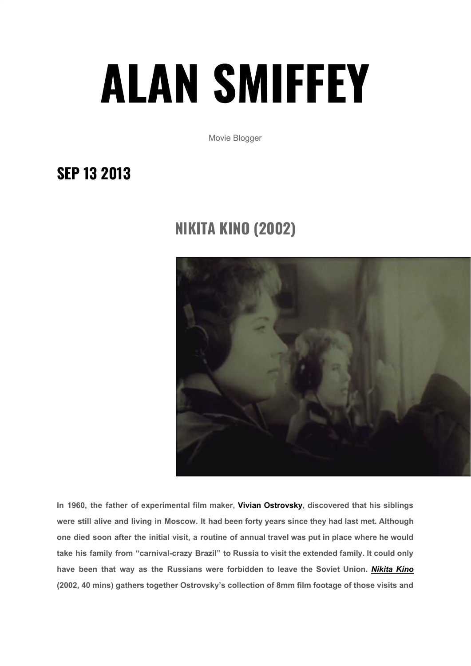## **ALAN [SMIFFEY](https://alansmiffey.wordpress.com/)**

Movie Blogger

## **SEP 13 [2013](https://alansmiffey.wordpress.com/2013/09/13/nikita-kino-2002/)**

## **NIKITA KINO (2002)**



**In 1960, the father of experimental film maker, Vivian [Ostrovsky](http://www.vivianostrovsky.com/), discovered that his siblings were still alive and living in Moscow. It had been forty years since they had last met. Although** one died soon after the initial visit, a routine of annual travel was put in place where he would **take his family from "carnival-crazy Brazil" to Russia to visit the extended family. It could only have been that way as the Russians were forbidden to leave the Soviet Union.** *[Nikita](http://www.imdb.com/title/tt0361956/) Kino* **(2002, 40 mins) gathers together Ostrovsky's collection of 8mm film footage of those visits and**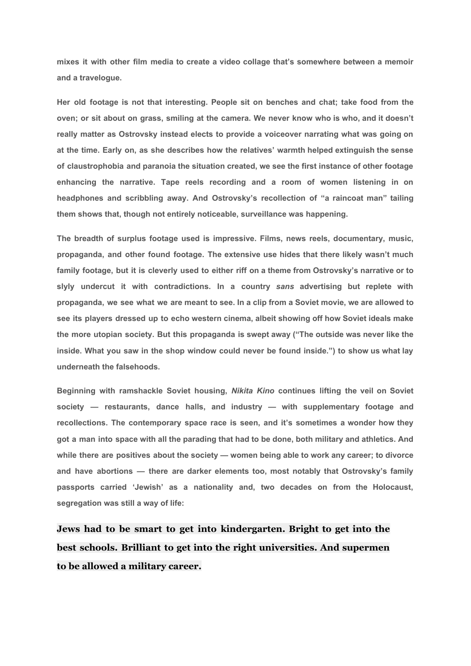**mixes it with other film media to create a video collage that's somewhere between a memoir and a travelogue.**

**Her old footage is not that interesting. People sit on benches and chat; take food from the** oven; or sit about on grass, smiling at the camera. We never know who is who, and it doesn't **really matter as Ostrovsky instead elects to provide a voiceover narrating what was going on at the time. Early on, as she describes how the relatives' warmth helped extinguish the sense of claustrophobia and paranoia the situation created, we see the first instance of other footage enhancing the narrative. Tape reels recording and a room of women listening in on headphones and scribbling away. And Ostrovsky's recollection of "a raincoat man" tailing them shows that, though not entirely noticeable, surveillance was happening.**

**The breadth of surplus footage used is impressive. Films, news reels, documentary, music, propaganda, and other found footage. The extensive use hides that there likely wasn't much family footage, but it is cleverly used to either riff on a theme from Ostrovsky's narrative or to slyly undercut it with contradictions. In a country** *sans* **advertising but replete with** propaganda, we see what we are meant to see. In a clip from a Soviet movie, we are allowed to **see its players dressed up to echo western cinema, albeit showing off how Soviet ideals make the more utopian society. But this propaganda is swept away ("The outside was never like the inside. What you saw in the shop window could never be found inside.") to show us what lay underneath the falsehoods.**

**Beginning with ramshackle Soviet housing,** *Nikita Kino* **continues lifting the veil on Soviet society — restaurants, dance halls, and industry — with supplementary footage and recollections. The contemporary space race is seen, and it's sometimes a wonder how they** got a man into space with all the parading that had to be done, both military and athletics. And **while there are positives about the society — women being able to work any career; to divorce and have abortions — there are darker elements too, most notably that Ostrovsky's family passports carried 'Jewish' as a nationality and, two decades on from the Holocaust, segregation was still a way of life:**

**Jews had to be smart to get into kindergarten. Bright to get into the best schools. Brilliant to get into the right universities. And supermen to be allowed a military career.**